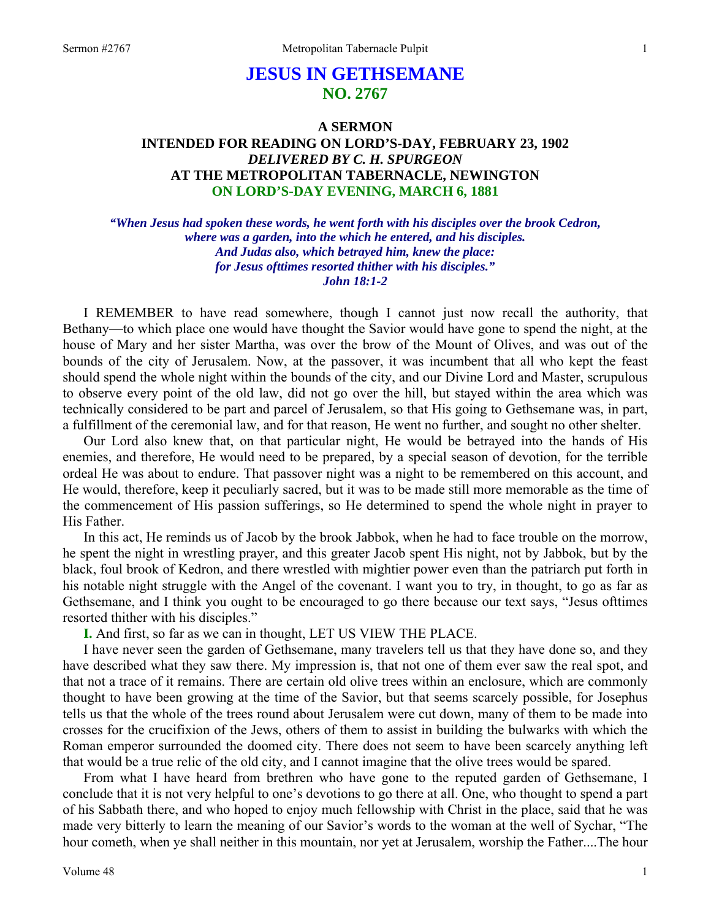# **JESUS IN GETHSEMANE NO. 2767**

# **A SERMON INTENDED FOR READING ON LORD'S-DAY, FEBRUARY 23, 1902**  *DELIVERED BY C. H. SPURGEON*  **AT THE METROPOLITAN TABERNACLE, NEWINGTON ON LORD'S-DAY EVENING, MARCH 6, 1881**

*"When Jesus had spoken these words, he went forth with his disciples over the brook Cedron, where was a garden, into the which he entered, and his disciples. And Judas also, which betrayed him, knew the place: for Jesus ofttimes resorted thither with his disciples." John 18:1-2* 

I REMEMBER to have read somewhere, though I cannot just now recall the authority, that Bethany—to which place one would have thought the Savior would have gone to spend the night, at the house of Mary and her sister Martha, was over the brow of the Mount of Olives, and was out of the bounds of the city of Jerusalem. Now, at the passover, it was incumbent that all who kept the feast should spend the whole night within the bounds of the city, and our Divine Lord and Master, scrupulous to observe every point of the old law, did not go over the hill, but stayed within the area which was technically considered to be part and parcel of Jerusalem, so that His going to Gethsemane was, in part, a fulfillment of the ceremonial law, and for that reason, He went no further, and sought no other shelter.

Our Lord also knew that, on that particular night, He would be betrayed into the hands of His enemies, and therefore, He would need to be prepared, by a special season of devotion, for the terrible ordeal He was about to endure. That passover night was a night to be remembered on this account, and He would, therefore, keep it peculiarly sacred, but it was to be made still more memorable as the time of the commencement of His passion sufferings, so He determined to spend the whole night in prayer to His Father.

In this act, He reminds us of Jacob by the brook Jabbok, when he had to face trouble on the morrow, he spent the night in wrestling prayer, and this greater Jacob spent His night, not by Jabbok, but by the black, foul brook of Kedron, and there wrestled with mightier power even than the patriarch put forth in his notable night struggle with the Angel of the covenant. I want you to try, in thought, to go as far as Gethsemane, and I think you ought to be encouraged to go there because our text says, "Jesus ofttimes resorted thither with his disciples."

**I.** And first, so far as we can in thought, LET US VIEW THE PLACE.

I have never seen the garden of Gethsemane, many travelers tell us that they have done so, and they have described what they saw there. My impression is, that not one of them ever saw the real spot, and that not a trace of it remains. There are certain old olive trees within an enclosure, which are commonly thought to have been growing at the time of the Savior, but that seems scarcely possible, for Josephus tells us that the whole of the trees round about Jerusalem were cut down, many of them to be made into crosses for the crucifixion of the Jews, others of them to assist in building the bulwarks with which the Roman emperor surrounded the doomed city. There does not seem to have been scarcely anything left that would be a true relic of the old city, and I cannot imagine that the olive trees would be spared.

From what I have heard from brethren who have gone to the reputed garden of Gethsemane, I conclude that it is not very helpful to one's devotions to go there at all. One, who thought to spend a part of his Sabbath there, and who hoped to enjoy much fellowship with Christ in the place, said that he was made very bitterly to learn the meaning of our Savior's words to the woman at the well of Sychar, "The hour cometh, when ye shall neither in this mountain, nor yet at Jerusalem, worship the Father....The hour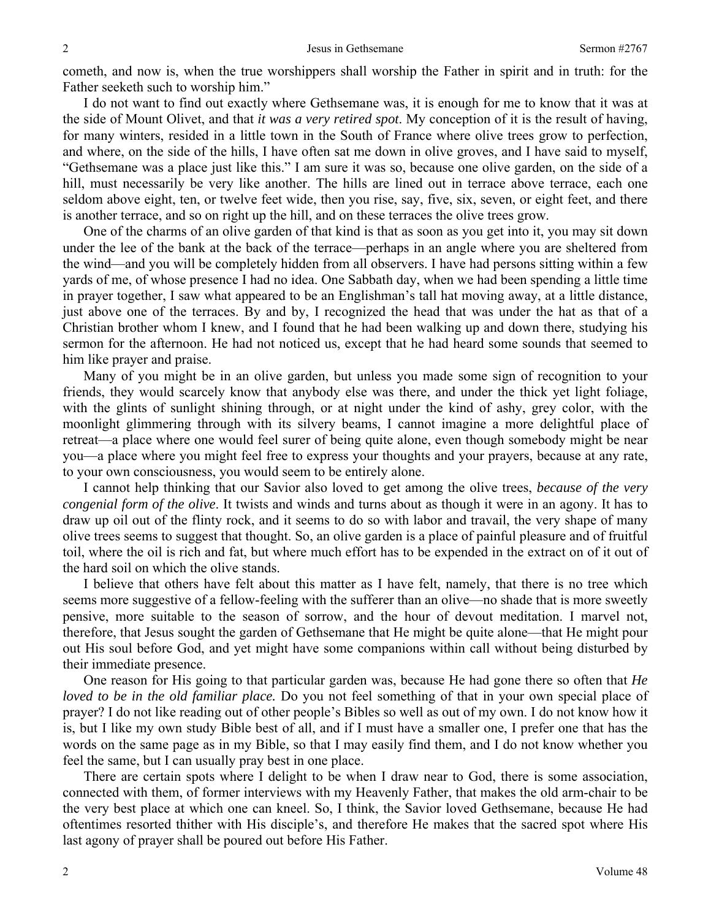cometh, and now is, when the true worshippers shall worship the Father in spirit and in truth: for the Father seeketh such to worship him."

I do not want to find out exactly where Gethsemane was, it is enough for me to know that it was at the side of Mount Olivet, and that *it was a very retired spot*. My conception of it is the result of having, for many winters, resided in a little town in the South of France where olive trees grow to perfection, and where, on the side of the hills, I have often sat me down in olive groves, and I have said to myself, "Gethsemane was a place just like this." I am sure it was so, because one olive garden, on the side of a hill, must necessarily be very like another. The hills are lined out in terrace above terrace, each one seldom above eight, ten, or twelve feet wide, then you rise, say, five, six, seven, or eight feet, and there is another terrace, and so on right up the hill, and on these terraces the olive trees grow.

One of the charms of an olive garden of that kind is that as soon as you get into it, you may sit down under the lee of the bank at the back of the terrace—perhaps in an angle where you are sheltered from the wind—and you will be completely hidden from all observers. I have had persons sitting within a few yards of me, of whose presence I had no idea. One Sabbath day, when we had been spending a little time in prayer together, I saw what appeared to be an Englishman's tall hat moving away, at a little distance, just above one of the terraces. By and by, I recognized the head that was under the hat as that of a Christian brother whom I knew, and I found that he had been walking up and down there, studying his sermon for the afternoon. He had not noticed us, except that he had heard some sounds that seemed to him like prayer and praise.

Many of you might be in an olive garden, but unless you made some sign of recognition to your friends, they would scarcely know that anybody else was there, and under the thick yet light foliage, with the glints of sunlight shining through, or at night under the kind of ashy, grey color, with the moonlight glimmering through with its silvery beams, I cannot imagine a more delightful place of retreat—a place where one would feel surer of being quite alone, even though somebody might be near you—a place where you might feel free to express your thoughts and your prayers, because at any rate, to your own consciousness, you would seem to be entirely alone.

I cannot help thinking that our Savior also loved to get among the olive trees, *because of the very congenial form of the olive*. It twists and winds and turns about as though it were in an agony. It has to draw up oil out of the flinty rock, and it seems to do so with labor and travail, the very shape of many olive trees seems to suggest that thought. So, an olive garden is a place of painful pleasure and of fruitful toil, where the oil is rich and fat, but where much effort has to be expended in the extract on of it out of the hard soil on which the olive stands.

I believe that others have felt about this matter as I have felt, namely, that there is no tree which seems more suggestive of a fellow-feeling with the sufferer than an olive—no shade that is more sweetly pensive, more suitable to the season of sorrow, and the hour of devout meditation. I marvel not, therefore, that Jesus sought the garden of Gethsemane that He might be quite alone—that He might pour out His soul before God, and yet might have some companions within call without being disturbed by their immediate presence.

One reason for His going to that particular garden was, because He had gone there so often that *He loved to be in the old familiar place.* Do you not feel something of that in your own special place of prayer? I do not like reading out of other people's Bibles so well as out of my own. I do not know how it is, but I like my own study Bible best of all, and if I must have a smaller one, I prefer one that has the words on the same page as in my Bible, so that I may easily find them, and I do not know whether you feel the same, but I can usually pray best in one place.

There are certain spots where I delight to be when I draw near to God, there is some association, connected with them, of former interviews with my Heavenly Father, that makes the old arm-chair to be the very best place at which one can kneel. So, I think, the Savior loved Gethsemane, because He had oftentimes resorted thither with His disciple's, and therefore He makes that the sacred spot where His last agony of prayer shall be poured out before His Father.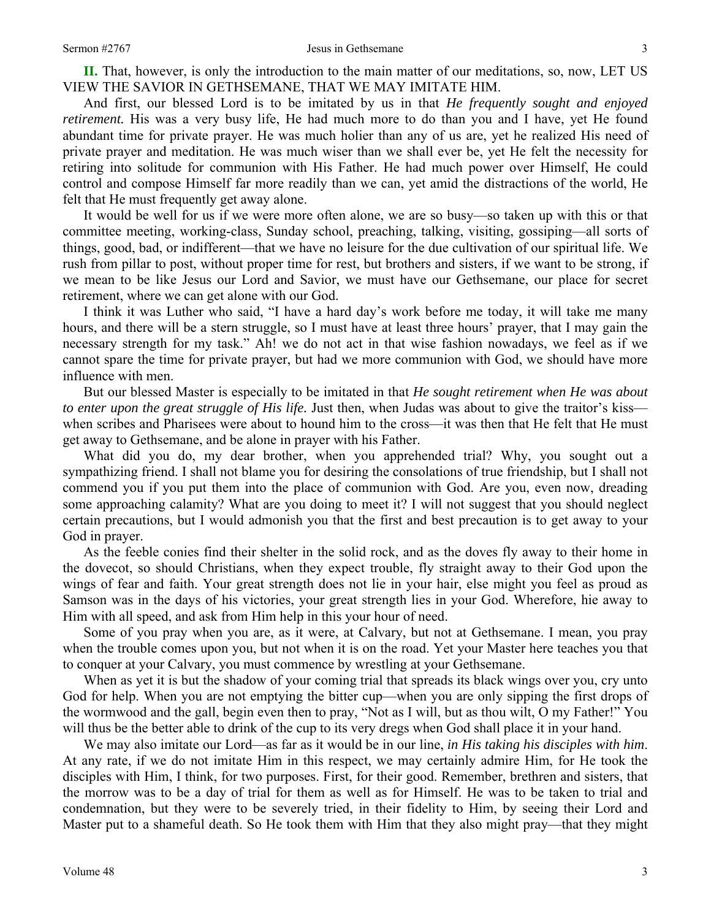**II.** That, however, is only the introduction to the main matter of our meditations, so, now, LET US VIEW THE SAVIOR IN GETHSEMANE, THAT WE MAY IMITATE HIM.

And first, our blessed Lord is to be imitated by us in that *He frequently sought and enjoyed retirement.* His was a very busy life, He had much more to do than you and I have, yet He found abundant time for private prayer. He was much holier than any of us are, yet he realized His need of private prayer and meditation. He was much wiser than we shall ever be, yet He felt the necessity for retiring into solitude for communion with His Father. He had much power over Himself, He could control and compose Himself far more readily than we can, yet amid the distractions of the world, He felt that He must frequently get away alone.

It would be well for us if we were more often alone, we are so busy—so taken up with this or that committee meeting, working-class, Sunday school, preaching, talking, visiting, gossiping—all sorts of things, good, bad, or indifferent—that we have no leisure for the due cultivation of our spiritual life. We rush from pillar to post, without proper time for rest, but brothers and sisters, if we want to be strong, if we mean to be like Jesus our Lord and Savior, we must have our Gethsemane, our place for secret retirement, where we can get alone with our God.

I think it was Luther who said, "I have a hard day's work before me today, it will take me many hours, and there will be a stern struggle, so I must have at least three hours' prayer, that I may gain the necessary strength for my task." Ah! we do not act in that wise fashion nowadays, we feel as if we cannot spare the time for private prayer, but had we more communion with God, we should have more influence with men.

But our blessed Master is especially to be imitated in that *He sought retirement when He was about to enter upon the great struggle of His life.* Just then, when Judas was about to give the traitor's kiss when scribes and Pharisees were about to hound him to the cross—it was then that He felt that He must get away to Gethsemane, and be alone in prayer with his Father.

What did you do, my dear brother, when you apprehended trial? Why, you sought out a sympathizing friend. I shall not blame you for desiring the consolations of true friendship, but I shall not commend you if you put them into the place of communion with God. Are you, even now, dreading some approaching calamity? What are you doing to meet it? I will not suggest that you should neglect certain precautions, but I would admonish you that the first and best precaution is to get away to your God in prayer.

As the feeble conies find their shelter in the solid rock, and as the doves fly away to their home in the dovecot, so should Christians, when they expect trouble, fly straight away to their God upon the wings of fear and faith. Your great strength does not lie in your hair, else might you feel as proud as Samson was in the days of his victories, your great strength lies in your God. Wherefore, hie away to Him with all speed, and ask from Him help in this your hour of need.

Some of you pray when you are, as it were, at Calvary, but not at Gethsemane. I mean, you pray when the trouble comes upon you, but not when it is on the road. Yet your Master here teaches you that to conquer at your Calvary, you must commence by wrestling at your Gethsemane.

When as yet it is but the shadow of your coming trial that spreads its black wings over you, cry unto God for help. When you are not emptying the bitter cup—when you are only sipping the first drops of the wormwood and the gall, begin even then to pray, "Not as I will, but as thou wilt, O my Father!" You will thus be the better able to drink of the cup to its very dregs when God shall place it in your hand.

We may also imitate our Lord—as far as it would be in our line, *in His taking his disciples with him*. At any rate, if we do not imitate Him in this respect, we may certainly admire Him, for He took the disciples with Him, I think, for two purposes. First, for their good. Remember, brethren and sisters, that the morrow was to be a day of trial for them as well as for Himself. He was to be taken to trial and condemnation, but they were to be severely tried, in their fidelity to Him, by seeing their Lord and Master put to a shameful death. So He took them with Him that they also might pray—that they might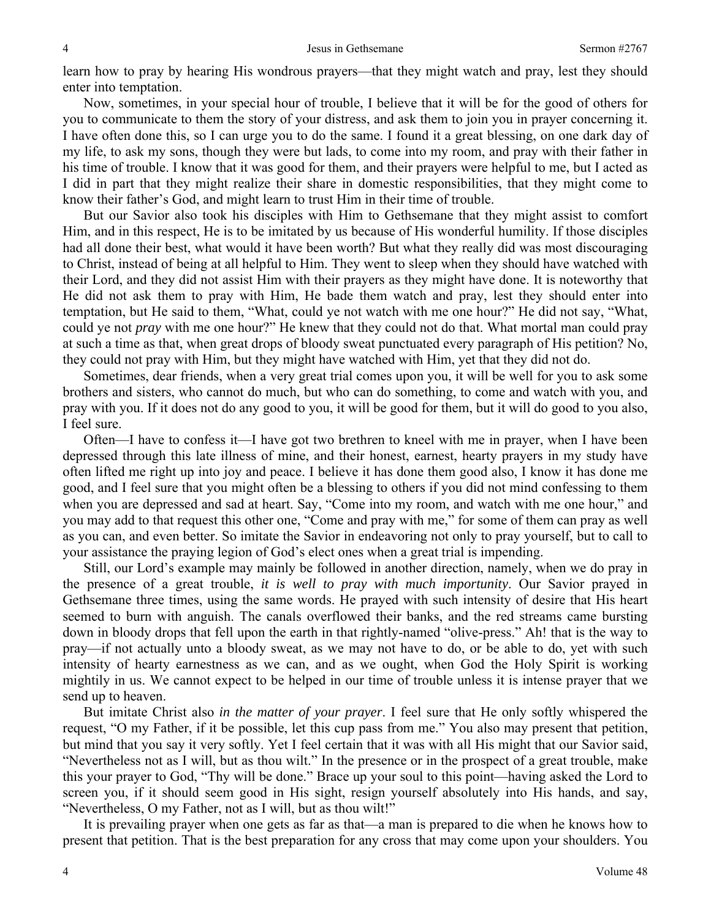learn how to pray by hearing His wondrous prayers—that they might watch and pray, lest they should enter into temptation.

Now, sometimes, in your special hour of trouble, I believe that it will be for the good of others for you to communicate to them the story of your distress, and ask them to join you in prayer concerning it. I have often done this, so I can urge you to do the same. I found it a great blessing, on one dark day of my life, to ask my sons, though they were but lads, to come into my room, and pray with their father in his time of trouble. I know that it was good for them, and their prayers were helpful to me, but I acted as I did in part that they might realize their share in domestic responsibilities, that they might come to know their father's God, and might learn to trust Him in their time of trouble.

But our Savior also took his disciples with Him to Gethsemane that they might assist to comfort Him, and in this respect, He is to be imitated by us because of His wonderful humility. If those disciples had all done their best, what would it have been worth? But what they really did was most discouraging to Christ, instead of being at all helpful to Him. They went to sleep when they should have watched with their Lord, and they did not assist Him with their prayers as they might have done. It is noteworthy that He did not ask them to pray with Him, He bade them watch and pray, lest they should enter into temptation, but He said to them, "What, could ye not watch with me one hour?" He did not say, "What, could ye not *pray* with me one hour?" He knew that they could not do that. What mortal man could pray at such a time as that, when great drops of bloody sweat punctuated every paragraph of His petition? No, they could not pray with Him, but they might have watched with Him, yet that they did not do.

Sometimes, dear friends, when a very great trial comes upon you, it will be well for you to ask some brothers and sisters, who cannot do much, but who can do something, to come and watch with you, and pray with you. If it does not do any good to you, it will be good for them, but it will do good to you also, I feel sure.

Often—I have to confess it—I have got two brethren to kneel with me in prayer, when I have been depressed through this late illness of mine, and their honest, earnest, hearty prayers in my study have often lifted me right up into joy and peace. I believe it has done them good also, I know it has done me good, and I feel sure that you might often be a blessing to others if you did not mind confessing to them when you are depressed and sad at heart. Say, "Come into my room, and watch with me one hour," and you may add to that request this other one, "Come and pray with me," for some of them can pray as well as you can, and even better. So imitate the Savior in endeavoring not only to pray yourself, but to call to your assistance the praying legion of God's elect ones when a great trial is impending.

Still, our Lord's example may mainly be followed in another direction, namely, when we do pray in the presence of a great trouble, *it is well to pray with much importunity*. Our Savior prayed in Gethsemane three times, using the same words. He prayed with such intensity of desire that His heart seemed to burn with anguish. The canals overflowed their banks, and the red streams came bursting down in bloody drops that fell upon the earth in that rightly-named "olive-press." Ah! that is the way to pray—if not actually unto a bloody sweat, as we may not have to do, or be able to do, yet with such intensity of hearty earnestness as we can, and as we ought, when God the Holy Spirit is working mightily in us. We cannot expect to be helped in our time of trouble unless it is intense prayer that we send up to heaven.

But imitate Christ also *in the matter of your prayer*. I feel sure that He only softly whispered the request, "O my Father, if it be possible, let this cup pass from me." You also may present that petition, but mind that you say it very softly. Yet I feel certain that it was with all His might that our Savior said, "Nevertheless not as I will, but as thou wilt." In the presence or in the prospect of a great trouble, make this your prayer to God, "Thy will be done." Brace up your soul to this point—having asked the Lord to screen you, if it should seem good in His sight, resign yourself absolutely into His hands, and say, "Nevertheless, O my Father, not as I will, but as thou wilt!"

It is prevailing prayer when one gets as far as that—a man is prepared to die when he knows how to present that petition. That is the best preparation for any cross that may come upon your shoulders. You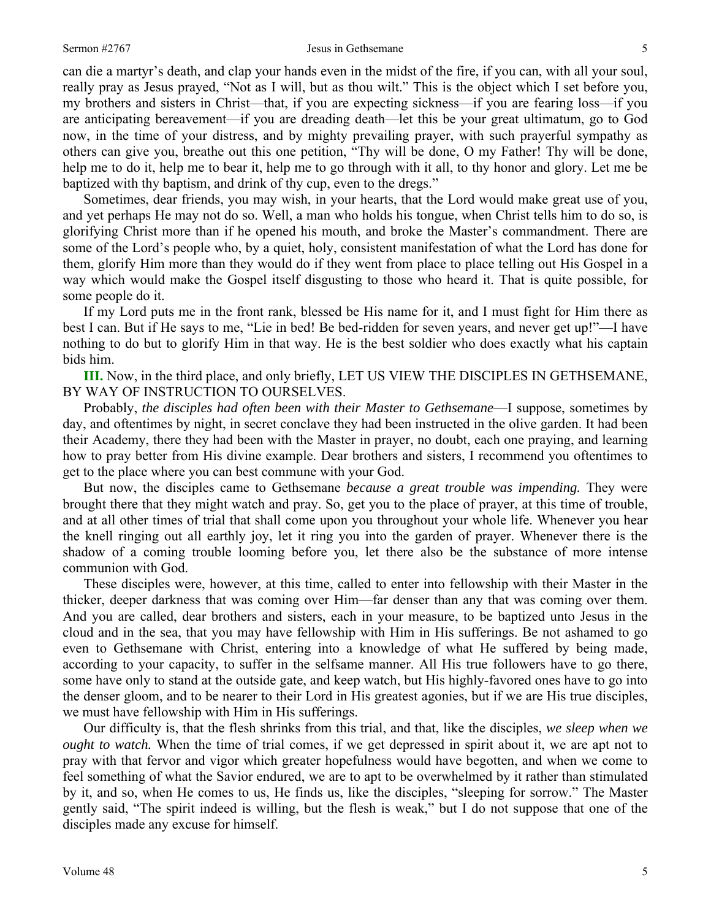can die a martyr's death, and clap your hands even in the midst of the fire, if you can, with all your soul, really pray as Jesus prayed, "Not as I will, but as thou wilt." This is the object which I set before you, my brothers and sisters in Christ—that, if you are expecting sickness—if you are fearing loss—if you are anticipating bereavement—if you are dreading death—let this be your great ultimatum, go to God now, in the time of your distress, and by mighty prevailing prayer, with such prayerful sympathy as others can give you, breathe out this one petition, "Thy will be done, O my Father! Thy will be done, help me to do it, help me to bear it, help me to go through with it all, to thy honor and glory. Let me be baptized with thy baptism, and drink of thy cup, even to the dregs."

Sometimes, dear friends, you may wish, in your hearts, that the Lord would make great use of you, and yet perhaps He may not do so. Well, a man who holds his tongue, when Christ tells him to do so, is glorifying Christ more than if he opened his mouth, and broke the Master's commandment. There are some of the Lord's people who, by a quiet, holy, consistent manifestation of what the Lord has done for them, glorify Him more than they would do if they went from place to place telling out His Gospel in a way which would make the Gospel itself disgusting to those who heard it. That is quite possible, for some people do it.

If my Lord puts me in the front rank, blessed be His name for it, and I must fight for Him there as best I can. But if He says to me, "Lie in bed! Be bed-ridden for seven years, and never get up!"—I have nothing to do but to glorify Him in that way. He is the best soldier who does exactly what his captain bids him.

**III.** Now, in the third place, and only briefly, LET US VIEW THE DISCIPLES IN GETHSEMANE, BY WAY OF INSTRUCTION TO OURSELVES.

Probably, *the disciples had often been with their Master to Gethsemane*—I suppose, sometimes by day, and oftentimes by night, in secret conclave they had been instructed in the olive garden. It had been their Academy, there they had been with the Master in prayer, no doubt, each one praying, and learning how to pray better from His divine example. Dear brothers and sisters, I recommend you oftentimes to get to the place where you can best commune with your God.

But now, the disciples came to Gethsemane *because a great trouble was impending.* They were brought there that they might watch and pray. So, get you to the place of prayer, at this time of trouble, and at all other times of trial that shall come upon you throughout your whole life. Whenever you hear the knell ringing out all earthly joy, let it ring you into the garden of prayer. Whenever there is the shadow of a coming trouble looming before you, let there also be the substance of more intense communion with God.

These disciples were, however, at this time, called to enter into fellowship with their Master in the thicker, deeper darkness that was coming over Him—far denser than any that was coming over them. And you are called, dear brothers and sisters, each in your measure, to be baptized unto Jesus in the cloud and in the sea, that you may have fellowship with Him in His sufferings. Be not ashamed to go even to Gethsemane with Christ, entering into a knowledge of what He suffered by being made, according to your capacity, to suffer in the selfsame manner. All His true followers have to go there, some have only to stand at the outside gate, and keep watch, but His highly-favored ones have to go into the denser gloom, and to be nearer to their Lord in His greatest agonies, but if we are His true disciples, we must have fellowship with Him in His sufferings.

Our difficulty is, that the flesh shrinks from this trial, and that, like the disciples, *we sleep when we ought to watch.* When the time of trial comes, if we get depressed in spirit about it, we are apt not to pray with that fervor and vigor which greater hopefulness would have begotten, and when we come to feel something of what the Savior endured, we are to apt to be overwhelmed by it rather than stimulated by it, and so, when He comes to us, He finds us, like the disciples, "sleeping for sorrow." The Master gently said, "The spirit indeed is willing, but the flesh is weak," but I do not suppose that one of the disciples made any excuse for himself.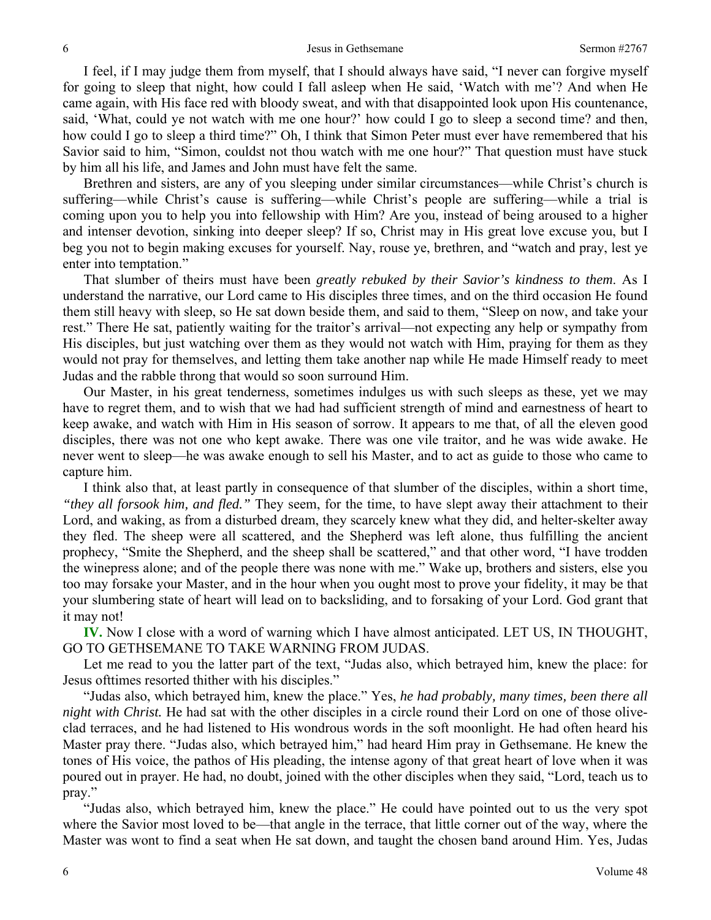I feel, if I may judge them from myself, that I should always have said, "I never can forgive myself for going to sleep that night, how could I fall asleep when He said, 'Watch with me'? And when He came again, with His face red with bloody sweat, and with that disappointed look upon His countenance, said, 'What, could ye not watch with me one hour?' how could I go to sleep a second time? and then, how could I go to sleep a third time?" Oh, I think that Simon Peter must ever have remembered that his Savior said to him, "Simon, couldst not thou watch with me one hour?" That question must have stuck by him all his life, and James and John must have felt the same.

Brethren and sisters, are any of you sleeping under similar circumstances—while Christ's church is suffering—while Christ's cause is suffering—while Christ's people are suffering—while a trial is coming upon you to help you into fellowship with Him? Are you, instead of being aroused to a higher and intenser devotion, sinking into deeper sleep? If so, Christ may in His great love excuse you, but I beg you not to begin making excuses for yourself. Nay, rouse ye, brethren, and "watch and pray, lest ye enter into temptation."

That slumber of theirs must have been *greatly rebuked by their Savior's kindness to them*. As I understand the narrative, our Lord came to His disciples three times, and on the third occasion He found them still heavy with sleep, so He sat down beside them, and said to them, "Sleep on now, and take your rest." There He sat, patiently waiting for the traitor's arrival—not expecting any help or sympathy from His disciples, but just watching over them as they would not watch with Him, praying for them as they would not pray for themselves, and letting them take another nap while He made Himself ready to meet Judas and the rabble throng that would so soon surround Him.

Our Master, in his great tenderness, sometimes indulges us with such sleeps as these, yet we may have to regret them, and to wish that we had had sufficient strength of mind and earnestness of heart to keep awake, and watch with Him in His season of sorrow. It appears to me that, of all the eleven good disciples, there was not one who kept awake. There was one vile traitor, and he was wide awake. He never went to sleep—he was awake enough to sell his Master, and to act as guide to those who came to capture him.

I think also that, at least partly in consequence of that slumber of the disciples, within a short time, *"they all forsook him, and fled."* They seem, for the time, to have slept away their attachment to their Lord, and waking, as from a disturbed dream, they scarcely knew what they did, and helter-skelter away they fled. The sheep were all scattered, and the Shepherd was left alone, thus fulfilling the ancient prophecy, "Smite the Shepherd, and the sheep shall be scattered," and that other word, "I have trodden the winepress alone; and of the people there was none with me." Wake up, brothers and sisters, else you too may forsake your Master, and in the hour when you ought most to prove your fidelity, it may be that your slumbering state of heart will lead on to backsliding, and to forsaking of your Lord. God grant that it may not!

**IV.** Now I close with a word of warning which I have almost anticipated. LET US, IN THOUGHT, GO TO GETHSEMANE TO TAKE WARNING FROM JUDAS.

Let me read to you the latter part of the text, "Judas also, which betrayed him, knew the place: for Jesus ofttimes resorted thither with his disciples."

"Judas also, which betrayed him, knew the place." Yes, *he had probably, many times, been there all night with Christ.* He had sat with the other disciples in a circle round their Lord on one of those oliveclad terraces, and he had listened to His wondrous words in the soft moonlight. He had often heard his Master pray there. "Judas also, which betrayed him," had heard Him pray in Gethsemane. He knew the tones of His voice, the pathos of His pleading, the intense agony of that great heart of love when it was poured out in prayer. He had, no doubt, joined with the other disciples when they said, "Lord, teach us to pray."

"Judas also, which betrayed him, knew the place." He could have pointed out to us the very spot where the Savior most loved to be—that angle in the terrace, that little corner out of the way, where the Master was wont to find a seat when He sat down, and taught the chosen band around Him. Yes, Judas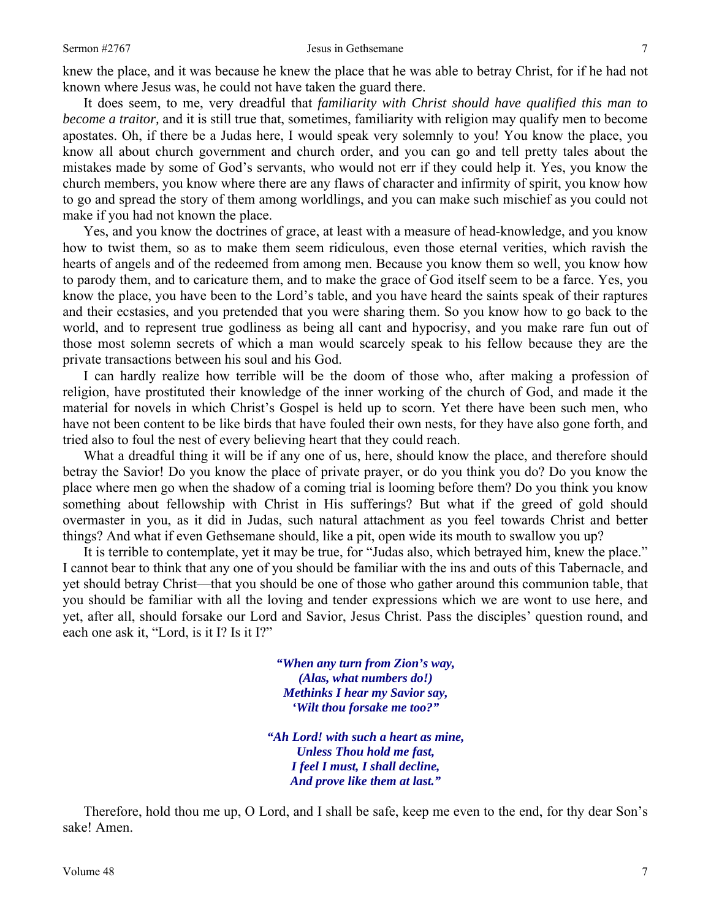knew the place, and it was because he knew the place that he was able to betray Christ, for if he had not known where Jesus was, he could not have taken the guard there.

It does seem, to me, very dreadful that *familiarity with Christ should have qualified this man to become a traitor,* and it is still true that, sometimes, familiarity with religion may qualify men to become apostates. Oh, if there be a Judas here, I would speak very solemnly to you! You know the place, you know all about church government and church order, and you can go and tell pretty tales about the mistakes made by some of God's servants, who would not err if they could help it. Yes, you know the church members, you know where there are any flaws of character and infirmity of spirit, you know how to go and spread the story of them among worldlings, and you can make such mischief as you could not make if you had not known the place.

Yes, and you know the doctrines of grace, at least with a measure of head-knowledge, and you know how to twist them, so as to make them seem ridiculous, even those eternal verities, which ravish the hearts of angels and of the redeemed from among men. Because you know them so well, you know how to parody them, and to caricature them, and to make the grace of God itself seem to be a farce. Yes, you know the place, you have been to the Lord's table, and you have heard the saints speak of their raptures and their ecstasies, and you pretended that you were sharing them. So you know how to go back to the world, and to represent true godliness as being all cant and hypocrisy, and you make rare fun out of those most solemn secrets of which a man would scarcely speak to his fellow because they are the private transactions between his soul and his God.

I can hardly realize how terrible will be the doom of those who, after making a profession of religion, have prostituted their knowledge of the inner working of the church of God, and made it the material for novels in which Christ's Gospel is held up to scorn. Yet there have been such men, who have not been content to be like birds that have fouled their own nests, for they have also gone forth, and tried also to foul the nest of every believing heart that they could reach.

What a dreadful thing it will be if any one of us, here, should know the place, and therefore should betray the Savior! Do you know the place of private prayer, or do you think you do? Do you know the place where men go when the shadow of a coming trial is looming before them? Do you think you know something about fellowship with Christ in His sufferings? But what if the greed of gold should overmaster in you, as it did in Judas, such natural attachment as you feel towards Christ and better things? And what if even Gethsemane should, like a pit, open wide its mouth to swallow you up?

It is terrible to contemplate, yet it may be true, for "Judas also, which betrayed him, knew the place." I cannot bear to think that any one of you should be familiar with the ins and outs of this Tabernacle, and yet should betray Christ—that you should be one of those who gather around this communion table, that you should be familiar with all the loving and tender expressions which we are wont to use here, and yet, after all, should forsake our Lord and Savior, Jesus Christ. Pass the disciples' question round, and each one ask it, "Lord, is it I? Is it I?"

> *"When any turn from Zion's way, (Alas, what numbers do!) Methinks I hear my Savior say, 'Wilt thou forsake me too?"*

*"Ah Lord! with such a heart as mine, Unless Thou hold me fast, I feel I must, I shall decline, And prove like them at last."* 

Therefore, hold thou me up, O Lord, and I shall be safe, keep me even to the end, for thy dear Son's sake! Amen.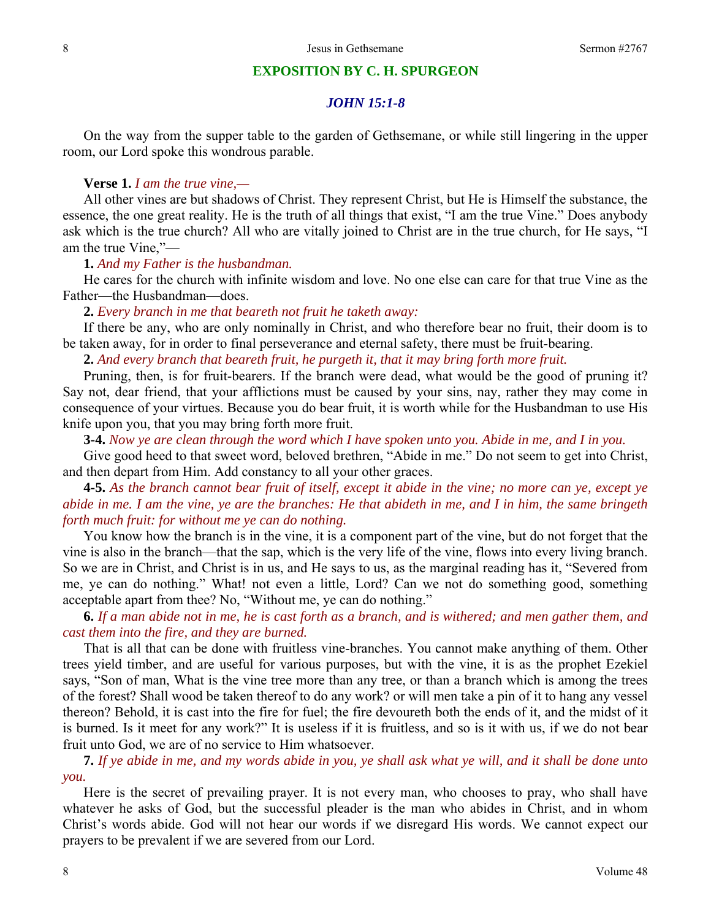### **EXPOSITION BY C. H. SPURGEON**

# *JOHN 15:1-8*

On the way from the supper table to the garden of Gethsemane, or while still lingering in the upper room, our Lord spoke this wondrous parable.

#### **Verse 1.** *I am the true vine,—*

All other vines are but shadows of Christ. They represent Christ, but He is Himself the substance, the essence, the one great reality. He is the truth of all things that exist, "I am the true Vine." Does anybody ask which is the true church? All who are vitally joined to Christ are in the true church, for He says, "I am the true Vine,"—

### **1.** *And my Father is the husbandman.*

He cares for the church with infinite wisdom and love. No one else can care for that true Vine as the Father—the Husbandman—does.

#### **2.** *Every branch in me that beareth not fruit he taketh away:*

If there be any, who are only nominally in Christ, and who therefore bear no fruit, their doom is to be taken away, for in order to final perseverance and eternal safety, there must be fruit-bearing.

**2.** *And every branch that beareth fruit, he purgeth it, that it may bring forth more fruit.* 

Pruning, then, is for fruit-bearers. If the branch were dead, what would be the good of pruning it? Say not, dear friend, that your afflictions must be caused by your sins, nay, rather they may come in consequence of your virtues. Because you do bear fruit, it is worth while for the Husbandman to use His knife upon you, that you may bring forth more fruit.

**3-4.** *Now ye are clean through the word which I have spoken unto you. Abide in me, and I in you.* 

Give good heed to that sweet word, beloved brethren, "Abide in me." Do not seem to get into Christ, and then depart from Him. Add constancy to all your other graces.

**4-5.** *As the branch cannot bear fruit of itself, except it abide in the vine; no more can ye, except ye abide in me. I am the vine, ye are the branches: He that abideth in me, and I in him, the same bringeth forth much fruit: for without me ye can do nothing.* 

You know how the branch is in the vine, it is a component part of the vine, but do not forget that the vine is also in the branch—that the sap, which is the very life of the vine, flows into every living branch. So we are in Christ, and Christ is in us, and He says to us, as the marginal reading has it, "Severed from me, ye can do nothing." What! not even a little, Lord? Can we not do something good, something acceptable apart from thee? No, "Without me, ye can do nothing."

**6.** *If a man abide not in me, he is cast forth as a branch, and is withered; and men gather them, and cast them into the fire, and they are burned.* 

That is all that can be done with fruitless vine-branches. You cannot make anything of them. Other trees yield timber, and are useful for various purposes, but with the vine, it is as the prophet Ezekiel says, "Son of man, What is the vine tree more than any tree, or than a branch which is among the trees of the forest? Shall wood be taken thereof to do any work? or will men take a pin of it to hang any vessel thereon? Behold, it is cast into the fire for fuel; the fire devoureth both the ends of it, and the midst of it is burned. Is it meet for any work?" It is useless if it is fruitless, and so is it with us, if we do not bear fruit unto God, we are of no service to Him whatsoever.

**7.** *If ye abide in me, and my words abide in you, ye shall ask what ye will, and it shall be done unto you.* 

Here is the secret of prevailing prayer. It is not every man, who chooses to pray, who shall have whatever he asks of God, but the successful pleader is the man who abides in Christ, and in whom Christ's words abide. God will not hear our words if we disregard His words. We cannot expect our prayers to be prevalent if we are severed from our Lord.